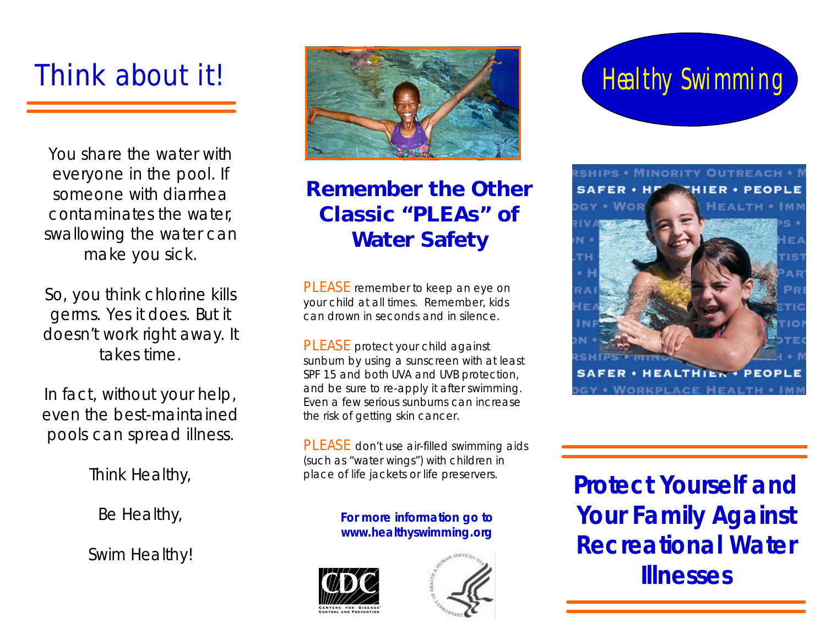# **Think about it!**

You share the water with everyone in the pool. If someone with diarrhea contaminates the water, swallowing the water can make you sick.

So, you think chlorine kills germs. Yes it does. But it doesn't work right away. It takes time.

In fact, without your help, even the best-maintained pools can spread illness.

Think Healthy,

Be Healthy,

Swim Healthy!



# **Remember the Other Classic "PLEAs" of Water Safety**

**PLEASE** remember to keep an eye on your child at all times. Remember, kids can drown in seconds and in silence.

**PLEASE** protect your child against sunburn by using a sunscreen with at least SPF 15 and both UVA and UVB protection, and be sure to re-apply it after swimming. Even a few serious sunburns can increase the risk of getting skin cancer.

**PLEASE** don't use air-filled swimming aids (such as "water wings") with children in place of life jackets or life preservers.

#### **For more information go to www.healthyswimming.org**





# Healthy Swimming



**Protect Yourself and Your Family Against Recreational Water Illnesses**